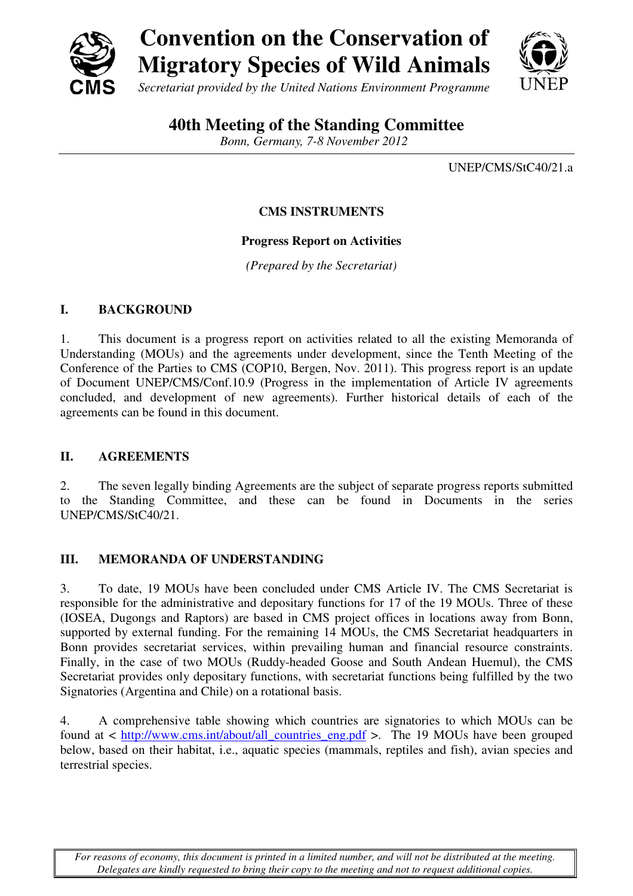



# **40th Meeting of the Standing Committee**

*Bonn, Germany, 7-8 November 2012* 

UNEP/CMS/StC40/21.a

# **CMS INSTRUMENTS**

### **Progress Report on Activities**

*(Prepared by the Secretariat)* 

### **I. BACKGROUND**

1. This document is a progress report on activities related to all the existing Memoranda of Understanding (MOUs) and the agreements under development, since the Tenth Meeting of the Conference of the Parties to CMS (COP10, Bergen, Nov. 2011). This progress report is an update of Document UNEP/CMS/Conf.10.9 (Progress in the implementation of Article IV agreements concluded, and development of new agreements). Further historical details of each of the agreements can be found in this document.

### **II. AGREEMENTS**

2. The seven legally binding Agreements are the subject of separate progress reports submitted to the Standing Committee, and these can be found in Documents in the series UNEP/CMS/StC40/21.

# **III. MEMORANDA OF UNDERSTANDING**

3. To date, 19 MOUs have been concluded under CMS Article IV. The CMS Secretariat is responsible for the administrative and depositary functions for 17 of the 19 MOUs. Three of these (IOSEA, Dugongs and Raptors) are based in CMS project offices in locations away from Bonn, supported by external funding. For the remaining 14 MOUs, the CMS Secretariat headquarters in Bonn provides secretariat services, within prevailing human and financial resource constraints. Finally, in the case of two MOUs (Ruddy-headed Goose and South Andean Huemul), the CMS Secretariat provides only depositary functions, with secretariat functions being fulfilled by the two Signatories (Argentina and Chile) on a rotational basis.

4. A comprehensive table showing which countries are signatories to which MOUs can be found at < http://www.cms.int/about/all\_countries\_eng.pdf >. The 19 MOUs have been grouped below, based on their habitat, i.e., aquatic species (mammals, reptiles and fish), avian species and terrestrial species.

*For reasons of economy, this document is printed in a limited number, and will not be distributed at the meeting. Delegates are kindly requested to bring their copy to the meeting and not to request additional copies.*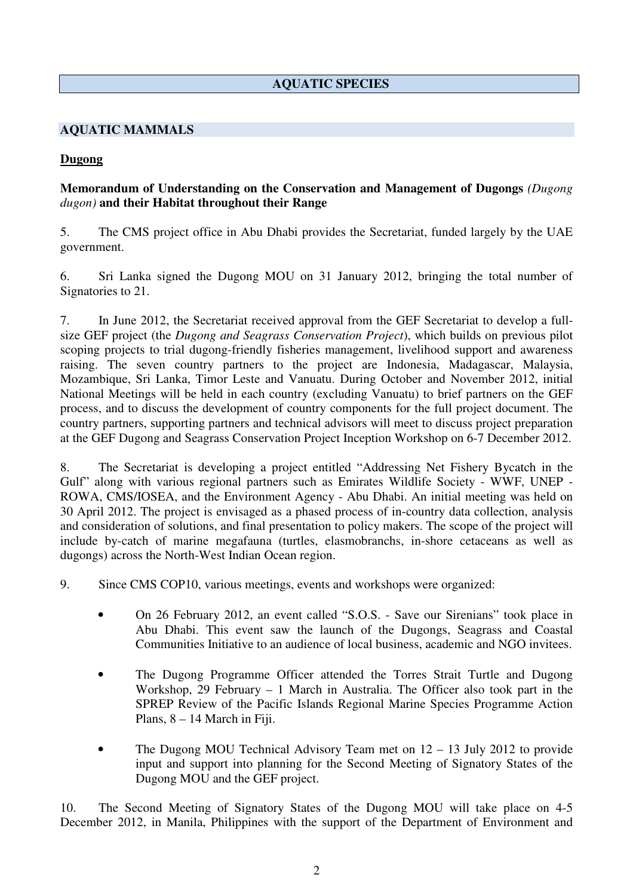# **AQUATIC SPECIES**

### **AQUATIC MAMMALS**

#### **Dugong**

### **Memorandum of Understanding on the Conservation and Management of Dugongs** *(Dugong dugon)* **and their Habitat throughout their Range**

5. The CMS project office in Abu Dhabi provides the Secretariat, funded largely by the UAE government.

6. Sri Lanka signed the Dugong MOU on 31 January 2012, bringing the total number of Signatories to 21.

7. In June 2012, the Secretariat received approval from the GEF Secretariat to develop a fullsize GEF project (the *Dugong and Seagrass Conservation Project*), which builds on previous pilot scoping projects to trial dugong-friendly fisheries management, livelihood support and awareness raising. The seven country partners to the project are Indonesia, Madagascar, Malaysia, Mozambique, Sri Lanka, Timor Leste and Vanuatu. During October and November 2012, initial National Meetings will be held in each country (excluding Vanuatu) to brief partners on the GEF process, and to discuss the development of country components for the full project document. The country partners, supporting partners and technical advisors will meet to discuss project preparation at the GEF Dugong and Seagrass Conservation Project Inception Workshop on 6-7 December 2012.

8. The Secretariat is developing a project entitled "Addressing Net Fishery Bycatch in the Gulf" along with various regional partners such as Emirates Wildlife Society - WWF, UNEP - ROWA, CMS/IOSEA, and the Environment Agency - Abu Dhabi. An initial meeting was held on 30 April 2012. The project is envisaged as a phased process of in-country data collection, analysis and consideration of solutions, and final presentation to policy makers. The scope of the project will include by-catch of marine megafauna (turtles, elasmobranchs, in-shore cetaceans as well as dugongs) across the North-West Indian Ocean region.

9. Since CMS COP10, various meetings, events and workshops were organized:

- On 26 February 2012, an event called "S.O.S. Save our Sirenians" took place in Abu Dhabi. This event saw the launch of the Dugongs, Seagrass and Coastal Communities Initiative to an audience of local business, academic and NGO invitees.
- The Dugong Programme Officer attended the Torres Strait Turtle and Dugong Workshop, 29 February – 1 March in Australia. The Officer also took part in the SPREP Review of the Pacific Islands Regional Marine Species Programme Action Plans, 8 – 14 March in Fiji.
- The Dugong MOU Technical Advisory Team met on  $12 13$  July 2012 to provide input and support into planning for the Second Meeting of Signatory States of the Dugong MOU and the GEF project.

10. The Second Meeting of Signatory States of the Dugong MOU will take place on 4-5 December 2012, in Manila, Philippines with the support of the Department of Environment and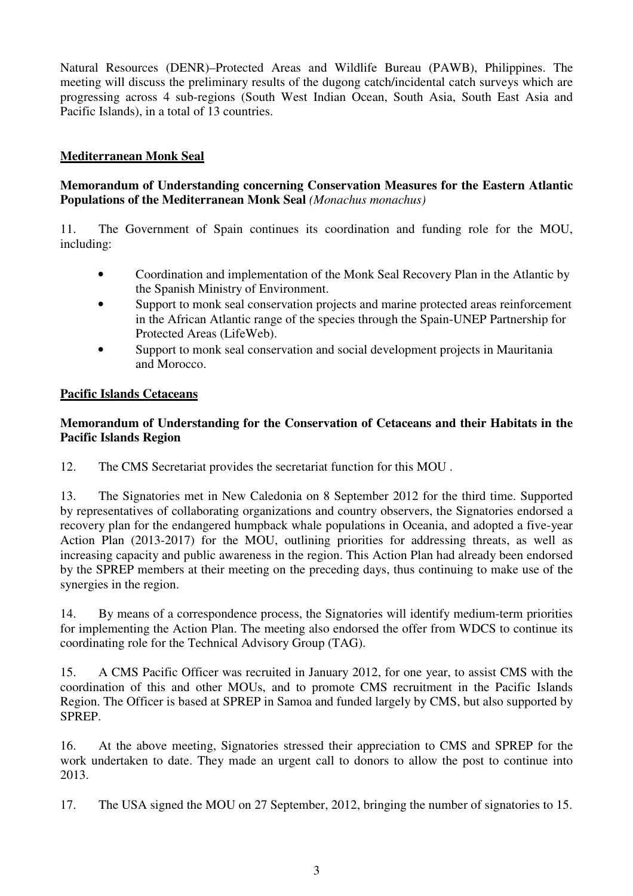Natural Resources (DENR)–Protected Areas and Wildlife Bureau (PAWB), Philippines. The meeting will discuss the preliminary results of the dugong catch/incidental catch surveys which are progressing across 4 sub-regions (South West Indian Ocean, South Asia, South East Asia and Pacific Islands), in a total of 13 countries.

# **Mediterranean Monk Seal**

### **Memorandum of Understanding concerning Conservation Measures for the Eastern Atlantic Populations of the Mediterranean Monk Seal** *(Monachus monachus)*

11. The Government of Spain continues its coordination and funding role for the MOU, including:

- Coordination and implementation of the Monk Seal Recovery Plan in the Atlantic by the Spanish Ministry of Environment.
- Support to monk seal conservation projects and marine protected areas reinforcement in the African Atlantic range of the species through the Spain-UNEP Partnership for Protected Areas (LifeWeb).
- Support to monk seal conservation and social development projects in Mauritania and Morocco.

#### **Pacific Islands Cetaceans**

### **Memorandum of Understanding for the Conservation of Cetaceans and their Habitats in the Pacific Islands Region**

12. The CMS Secretariat provides the secretariat function for this MOU .

13. The Signatories met in New Caledonia on 8 September 2012 for the third time. Supported by representatives of collaborating organizations and country observers, the Signatories endorsed a recovery plan for the endangered humpback whale populations in Oceania, and adopted a five-year Action Plan (2013-2017) for the MOU, outlining priorities for addressing threats, as well as increasing capacity and public awareness in the region. This Action Plan had already been endorsed by the SPREP members at their meeting on the preceding days, thus continuing to make use of the synergies in the region.

14. By means of a correspondence process, the Signatories will identify medium-term priorities for implementing the Action Plan. The meeting also endorsed the offer from WDCS to continue its coordinating role for the Technical Advisory Group (TAG).

15. A CMS Pacific Officer was recruited in January 2012, for one year, to assist CMS with the coordination of this and other MOUs, and to promote CMS recruitment in the Pacific Islands Region. The Officer is based at SPREP in Samoa and funded largely by CMS, but also supported by SPREP.

16. At the above meeting, Signatories stressed their appreciation to CMS and SPREP for the work undertaken to date. They made an urgent call to donors to allow the post to continue into 2013.

17. The USA signed the MOU on 27 September, 2012, bringing the number of signatories to 15.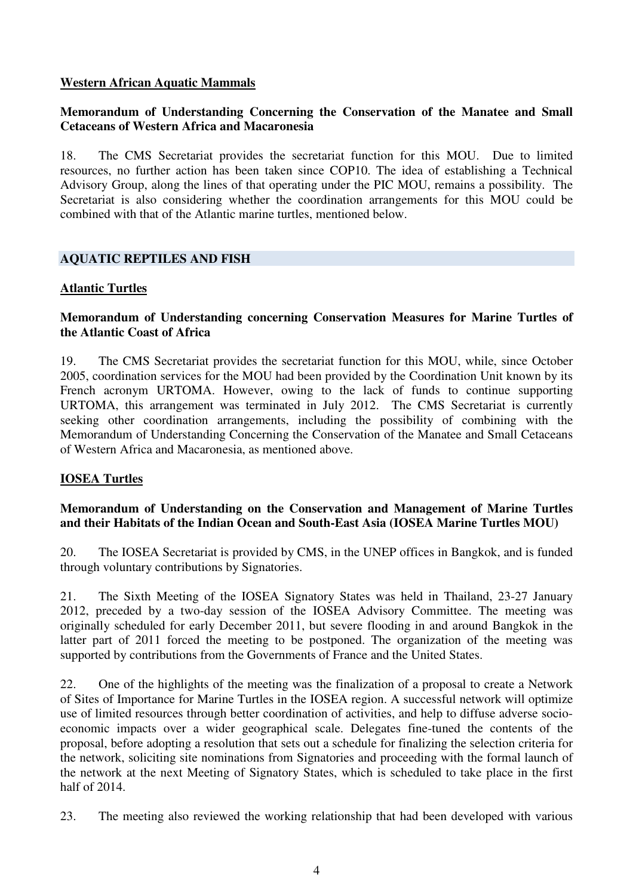#### **Western African Aquatic Mammals**

### **Memorandum of Understanding Concerning the Conservation of the Manatee and Small Cetaceans of Western Africa and Macaronesia**

18. The CMS Secretariat provides the secretariat function for this MOU. Due to limited resources, no further action has been taken since COP10. The idea of establishing a Technical Advisory Group, along the lines of that operating under the PIC MOU, remains a possibility. The Secretariat is also considering whether the coordination arrangements for this MOU could be combined with that of the Atlantic marine turtles, mentioned below.

### **AQUATIC REPTILES AND FISH**

#### **Atlantic Turtles**

### **Memorandum of Understanding concerning Conservation Measures for Marine Turtles of the Atlantic Coast of Africa**

19. The CMS Secretariat provides the secretariat function for this MOU, while, since October 2005, coordination services for the MOU had been provided by the Coordination Unit known by its French acronym URTOMA. However, owing to the lack of funds to continue supporting URTOMA, this arrangement was terminated in July 2012. The CMS Secretariat is currently seeking other coordination arrangements, including the possibility of combining with the Memorandum of Understanding Concerning the Conservation of the Manatee and Small Cetaceans of Western Africa and Macaronesia, as mentioned above.

### **IOSEA Turtles**

### **Memorandum of Understanding on the Conservation and Management of Marine Turtles and their Habitats of the Indian Ocean and South-East Asia (IOSEA Marine Turtles MOU)**

20. The IOSEA Secretariat is provided by CMS, in the UNEP offices in Bangkok, and is funded through voluntary contributions by Signatories.

21. The Sixth Meeting of the IOSEA Signatory States was held in Thailand, 23-27 January 2012, preceded by a two-day session of the IOSEA Advisory Committee. The meeting was originally scheduled for early December 2011, but severe flooding in and around Bangkok in the latter part of 2011 forced the meeting to be postponed. The organization of the meeting was supported by contributions from the Governments of France and the United States.

22. One of the highlights of the meeting was the finalization of a proposal to create a Network of Sites of Importance for Marine Turtles in the IOSEA region. A successful network will optimize use of limited resources through better coordination of activities, and help to diffuse adverse socioeconomic impacts over a wider geographical scale. Delegates fine-tuned the contents of the proposal, before adopting a resolution that sets out a schedule for finalizing the selection criteria for the network, soliciting site nominations from Signatories and proceeding with the formal launch of the network at the next Meeting of Signatory States, which is scheduled to take place in the first half of 2014.

23. The meeting also reviewed the working relationship that had been developed with various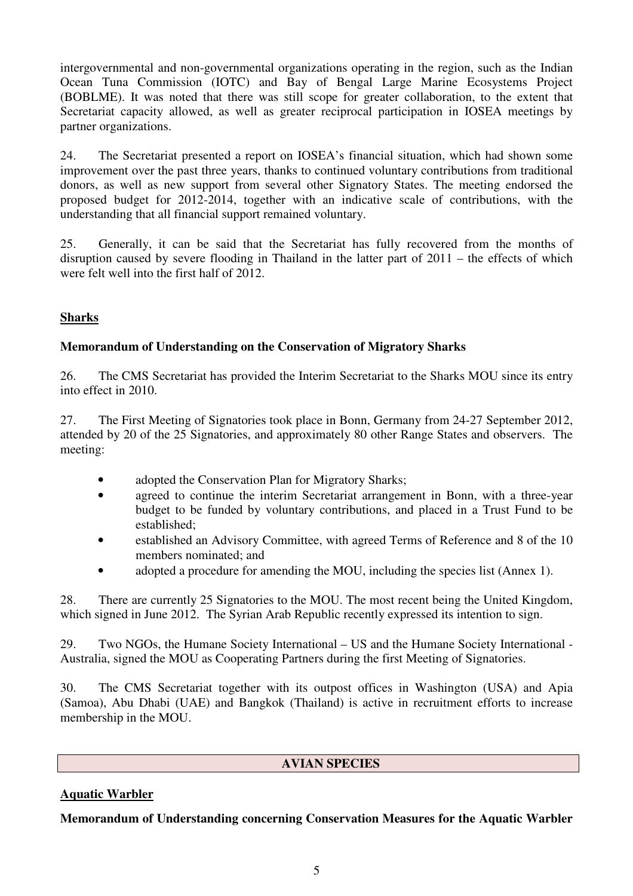intergovernmental and non-governmental organizations operating in the region, such as the Indian Ocean Tuna Commission (IOTC) and Bay of Bengal Large Marine Ecosystems Project (BOBLME). It was noted that there was still scope for greater collaboration, to the extent that Secretariat capacity allowed, as well as greater reciprocal participation in IOSEA meetings by partner organizations.

24. The Secretariat presented a report on IOSEA's financial situation, which had shown some improvement over the past three years, thanks to continued voluntary contributions from traditional donors, as well as new support from several other Signatory States. The meeting endorsed the proposed budget for 2012-2014, together with an indicative scale of contributions, with the understanding that all financial support remained voluntary.

25. Generally, it can be said that the Secretariat has fully recovered from the months of disruption caused by severe flooding in Thailand in the latter part of 2011 – the effects of which were felt well into the first half of 2012.

### **Sharks**

### **Memorandum of Understanding on the Conservation of Migratory Sharks**

26. The CMS Secretariat has provided the Interim Secretariat to the Sharks MOU since its entry into effect in 2010.

27. The First Meeting of Signatories took place in Bonn, Germany from 24-27 September 2012, attended by 20 of the 25 Signatories, and approximately 80 other Range States and observers. The meeting:

- adopted the Conservation Plan for Migratory Sharks;
- agreed to continue the interim Secretariat arrangement in Bonn, with a three-year budget to be funded by voluntary contributions, and placed in a Trust Fund to be established;
- established an Advisory Committee, with agreed Terms of Reference and 8 of the 10 members nominated; and
- adopted a procedure for amending the MOU, including the species list (Annex 1).

28. There are currently 25 Signatories to the MOU. The most recent being the United Kingdom, which signed in June 2012. The Syrian Arab Republic recently expressed its intention to sign.

29. Two NGOs, the Humane Society International – US and the Humane Society International - Australia, signed the MOU as Cooperating Partners during the first Meeting of Signatories.

30. The CMS Secretariat together with its outpost offices in Washington (USA) and Apia (Samoa), Abu Dhabi (UAE) and Bangkok (Thailand) is active in recruitment efforts to increase membership in the MOU.

### **AVIAN SPECIES**

### **Aquatic Warbler**

**Memorandum of Understanding concerning Conservation Measures for the Aquatic Warbler**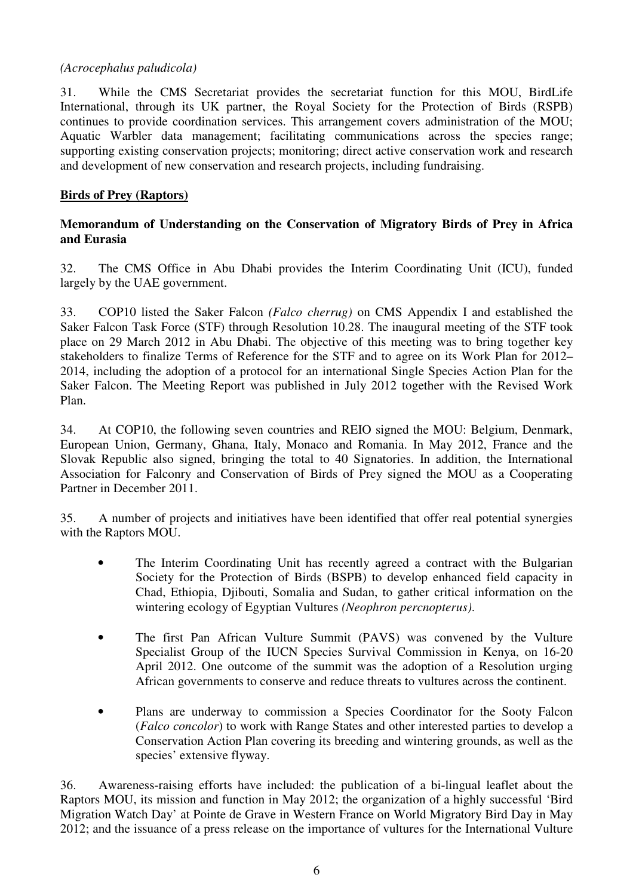### *(Acrocephalus paludicola)*

31. While the CMS Secretariat provides the secretariat function for this MOU, BirdLife International, through its UK partner, the Royal Society for the Protection of Birds (RSPB) continues to provide coordination services. This arrangement covers administration of the MOU; Aquatic Warbler data management; facilitating communications across the species range; supporting existing conservation projects; monitoring; direct active conservation work and research and development of new conservation and research projects, including fundraising.

#### **Birds of Prey (Raptors)**

### **Memorandum of Understanding on the Conservation of Migratory Birds of Prey in Africa and Eurasia**

32. The CMS Office in Abu Dhabi provides the Interim Coordinating Unit (ICU), funded largely by the UAE government.

33. COP10 listed the Saker Falcon *(Falco cherrug)* on CMS Appendix I and established the Saker Falcon Task Force (STF) through Resolution 10.28. The inaugural meeting of the STF took place on 29 March 2012 in Abu Dhabi. The objective of this meeting was to bring together key stakeholders to finalize Terms of Reference for the STF and to agree on its Work Plan for 2012– 2014, including the adoption of a protocol for an international Single Species Action Plan for the Saker Falcon. The Meeting Report was published in July 2012 together with the Revised Work Plan.

34. At COP10, the following seven countries and REIO signed the MOU: Belgium, Denmark, European Union, Germany, Ghana, Italy, Monaco and Romania. In May 2012, France and the Slovak Republic also signed, bringing the total to 40 Signatories. In addition, the International Association for Falconry and Conservation of Birds of Prey signed the MOU as a Cooperating Partner in December 2011.

35. A number of projects and initiatives have been identified that offer real potential synergies with the Raptors MOU.

- The Interim Coordinating Unit has recently agreed a contract with the Bulgarian Society for the Protection of Birds (BSPB) to develop enhanced field capacity in Chad, Ethiopia, Djibouti, Somalia and Sudan, to gather critical information on the wintering ecology of Egyptian Vultures *(Neophron percnopterus)*.
- The first Pan African Vulture Summit (PAVS) was convened by the Vulture Specialist Group of the IUCN Species Survival Commission in Kenya, on 16-20 April 2012. One outcome of the summit was the adoption of a Resolution urging African governments to conserve and reduce threats to vultures across the continent.
- Plans are underway to commission a Species Coordinator for the Sooty Falcon (*Falco concolor*) to work with Range States and other interested parties to develop a Conservation Action Plan covering its breeding and wintering grounds, as well as the species' extensive flyway.

36. Awareness-raising efforts have included: the publication of a bi-lingual leaflet about the Raptors MOU, its mission and function in May 2012; the organization of a highly successful 'Bird Migration Watch Day' at Pointe de Grave in Western France on World Migratory Bird Day in May 2012; and the issuance of a press release on the importance of vultures for the International Vulture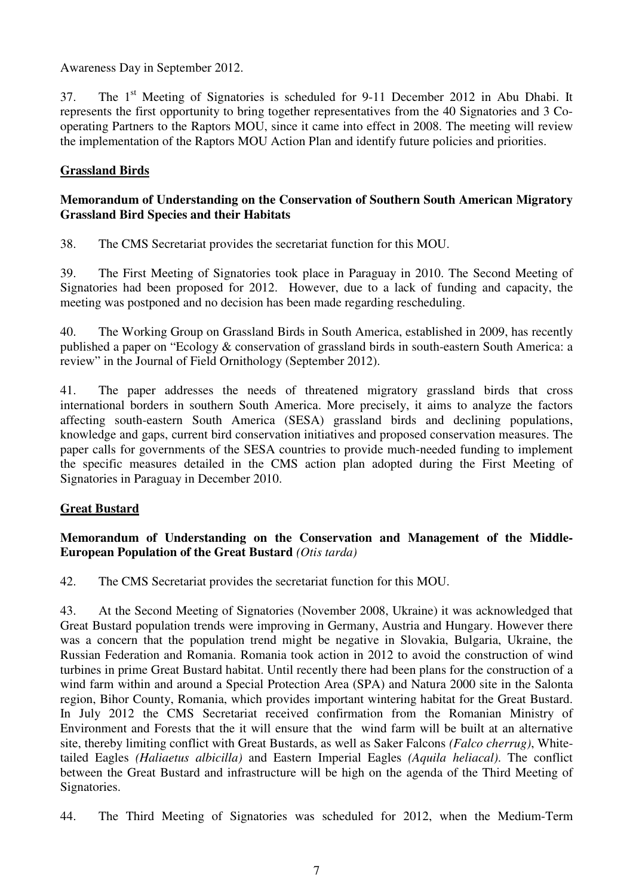Awareness Day in September 2012.

37. The 1<sup>st</sup> Meeting of Signatories is scheduled for 9-11 December 2012 in Abu Dhabi. It represents the first opportunity to bring together representatives from the 40 Signatories and 3 Cooperating Partners to the Raptors MOU, since it came into effect in 2008. The meeting will review the implementation of the Raptors MOU Action Plan and identify future policies and priorities.

### **Grassland Birds**

### **Memorandum of Understanding on the Conservation of Southern South American Migratory Grassland Bird Species and their Habitats**

38. The CMS Secretariat provides the secretariat function for this MOU.

39. The First Meeting of Signatories took place in Paraguay in 2010. The Second Meeting of Signatories had been proposed for 2012. However, due to a lack of funding and capacity, the meeting was postponed and no decision has been made regarding rescheduling.

40. The Working Group on Grassland Birds in South America, established in 2009, has recently published a paper on "Ecology & conservation of grassland birds in south-eastern South America: a review" in the Journal of Field Ornithology (September 2012).

41. The paper addresses the needs of threatened migratory grassland birds that cross international borders in southern South America. More precisely, it aims to analyze the factors affecting south-eastern South America (SESA) grassland birds and declining populations, knowledge and gaps, current bird conservation initiatives and proposed conservation measures. The paper calls for governments of the SESA countries to provide much-needed funding to implement the specific measures detailed in the CMS action plan adopted during the First Meeting of Signatories in Paraguay in December 2010.

# **Great Bustard**

### **Memorandum of Understanding on the Conservation and Management of the Middle-European Population of the Great Bustard** *(Otis tarda)*

42. The CMS Secretariat provides the secretariat function for this MOU.

43. At the Second Meeting of Signatories (November 2008, Ukraine) it was acknowledged that Great Bustard population trends were improving in Germany, Austria and Hungary. However there was a concern that the population trend might be negative in Slovakia, Bulgaria, Ukraine, the Russian Federation and Romania. Romania took action in 2012 to avoid the construction of wind turbines in prime Great Bustard habitat. Until recently there had been plans for the construction of a wind farm within and around a Special Protection Area (SPA) and Natura 2000 site in the Salonta region, Bihor County, Romania, which provides important wintering habitat for the Great Bustard. In July 2012 the CMS Secretariat received confirmation from the Romanian Ministry of Environment and Forests that the it will ensure that the wind farm will be built at an alternative site, thereby limiting conflict with Great Bustards, as well as Saker Falcons *(Falco cherrug)*, Whitetailed Eagles *(Haliaetus albicilla)* and Eastern Imperial Eagles *(Aquila heliacal)*. The conflict between the Great Bustard and infrastructure will be high on the agenda of the Third Meeting of Signatories.

44. The Third Meeting of Signatories was scheduled for 2012, when the Medium-Term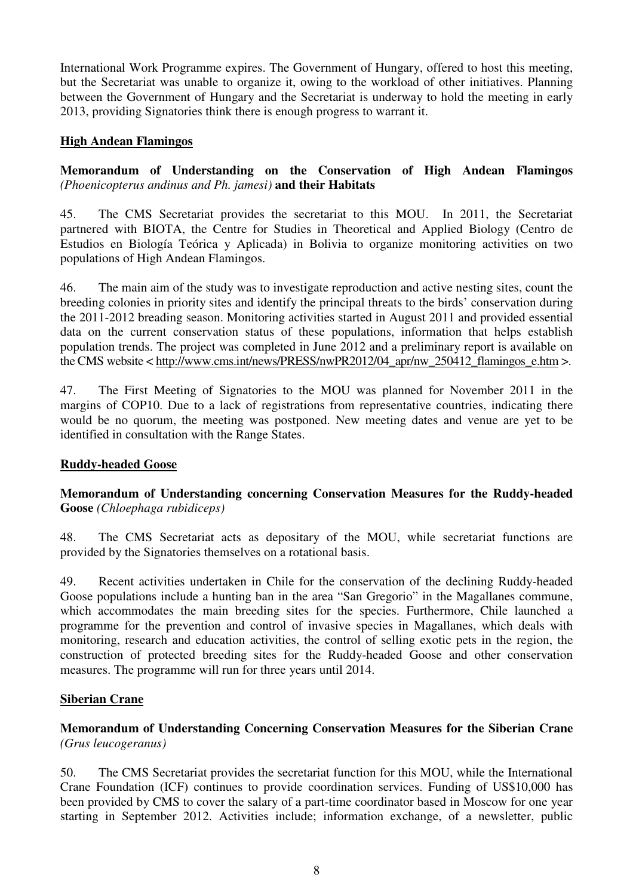International Work Programme expires. The Government of Hungary, offered to host this meeting, but the Secretariat was unable to organize it, owing to the workload of other initiatives. Planning between the Government of Hungary and the Secretariat is underway to hold the meeting in early 2013, providing Signatories think there is enough progress to warrant it.

### **High Andean Flamingos**

### **Memorandum of Understanding on the Conservation of High Andean Flamingos**  *(Phoenicopterus andinus and Ph. jamesi)* **and their Habitats**

45. The CMS Secretariat provides the secretariat to this MOU. In 2011, the Secretariat partnered with BIOTA, the Centre for Studies in Theoretical and Applied Biology (Centro de Estudios en Biología Teórica y Aplicada) in Bolivia to organize monitoring activities on two populations of High Andean Flamingos.

46. The main aim of the study was to investigate reproduction and active nesting sites, count the breeding colonies in priority sites and identify the principal threats to the birds' conservation during the 2011-2012 breading season. Monitoring activities started in August 2011 and provided essential data on the current conservation status of these populations, information that helps establish population trends. The project was completed in June 2012 and a preliminary report is available on the CMS website < http://www.cms.int/news/PRESS/nwPR2012/04\_apr/nw\_250412\_flamingos\_e.htm >.

47. The First Meeting of Signatories to the MOU was planned for November 2011 in the margins of COP10. Due to a lack of registrations from representative countries, indicating there would be no quorum, the meeting was postponed. New meeting dates and venue are yet to be identified in consultation with the Range States.

### **Ruddy-headed Goose**

### **Memorandum of Understanding concerning Conservation Measures for the Ruddy-headed Goose** *(Chloephaga rubidiceps)*

48. The CMS Secretariat acts as depositary of the MOU, while secretariat functions are provided by the Signatories themselves on a rotational basis.

49. Recent activities undertaken in Chile for the conservation of the declining Ruddy-headed Goose populations include a hunting ban in the area "San Gregorio" in the Magallanes commune, which accommodates the main breeding sites for the species. Furthermore, Chile launched a programme for the prevention and control of invasive species in Magallanes, which deals with monitoring, research and education activities, the control of selling exotic pets in the region, the construction of protected breeding sites for the Ruddy-headed Goose and other conservation measures. The programme will run for three years until 2014.

#### **Siberian Crane**

### **Memorandum of Understanding Concerning Conservation Measures for the Siberian Crane**  *(Grus leucogeranus)*

50. The CMS Secretariat provides the secretariat function for this MOU, while the International Crane Foundation (ICF) continues to provide coordination services. Funding of US\$10,000 has been provided by CMS to cover the salary of a part-time coordinator based in Moscow for one year starting in September 2012. Activities include; information exchange, of a newsletter, public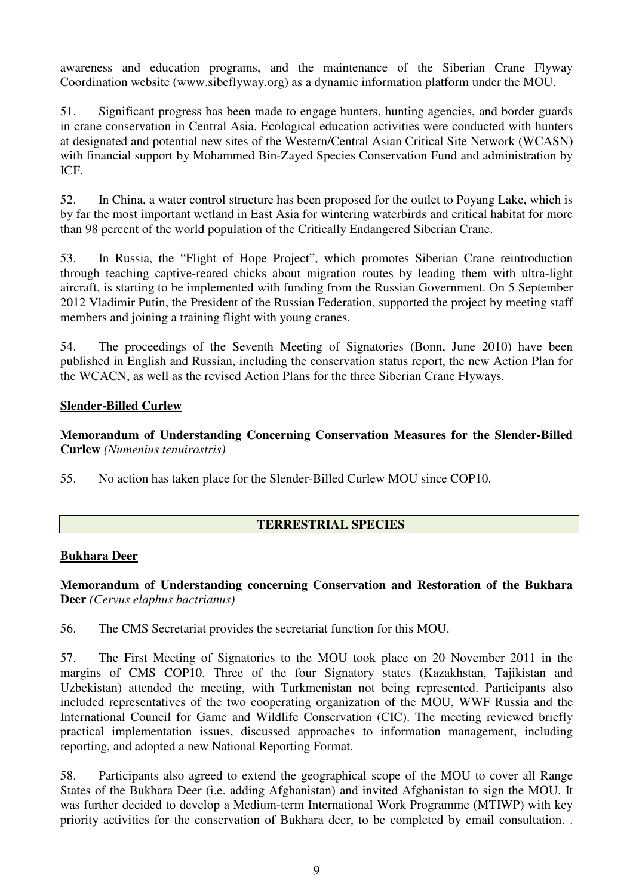awareness and education programs, and the maintenance of the Siberian Crane Flyway Coordination website (www.sibeflyway.org) as a dynamic information platform under the MOU.

51. Significant progress has been made to engage hunters, hunting agencies, and border guards in crane conservation in Central Asia. Ecological education activities were conducted with hunters at designated and potential new sites of the Western/Central Asian Critical Site Network (WCASN) with financial support by Mohammed Bin-Zayed Species Conservation Fund and administration by ICF.

52. In China, a water control structure has been proposed for the outlet to Poyang Lake, which is by far the most important wetland in East Asia for wintering waterbirds and critical habitat for more than 98 percent of the world population of the Critically Endangered Siberian Crane.

53. In Russia, the "Flight of Hope Project", which promotes Siberian Crane reintroduction through teaching captive-reared chicks about migration routes by leading them with ultra-light aircraft, is starting to be implemented with funding from the Russian Government. On 5 September 2012 Vladimir Putin, the President of the Russian Federation, supported the project by meeting staff members and joining a training flight with young cranes.

54. The proceedings of the Seventh Meeting of Signatories (Bonn, June 2010) have been published in English and Russian, including the conservation status report, the new Action Plan for the WCACN, as well as the revised Action Plans for the three Siberian Crane Flyways.

### **Slender-Billed Curlew**

**Memorandum of Understanding Concerning Conservation Measures for the Slender-Billed Curlew** *(Numenius tenuirostris)* 

55. No action has taken place for the Slender-Billed Curlew MOU since COP10.

### **TERRESTRIAL SPECIES**

#### **Bukhara Deer**

**Memorandum of Understanding concerning Conservation and Restoration of the Bukhara Deer** *(Cervus elaphus bactrianus)* 

56. The CMS Secretariat provides the secretariat function for this MOU.

57. The First Meeting of Signatories to the MOU took place on 20 November 2011 in the margins of CMS COP10. Three of the four Signatory states (Kazakhstan, Tajikistan and Uzbekistan) attended the meeting, with Turkmenistan not being represented. Participants also included representatives of the two cooperating organization of the MOU, WWF Russia and the International Council for Game and Wildlife Conservation (CIC). The meeting reviewed briefly practical implementation issues, discussed approaches to information management, including reporting, and adopted a new National Reporting Format.

58. Participants also agreed to extend the geographical scope of the MOU to cover all Range States of the Bukhara Deer (i.e. adding Afghanistan) and invited Afghanistan to sign the MOU. It was further decided to develop a Medium-term International Work Programme (MTIWP) with key priority activities for the conservation of Bukhara deer, to be completed by email consultation. .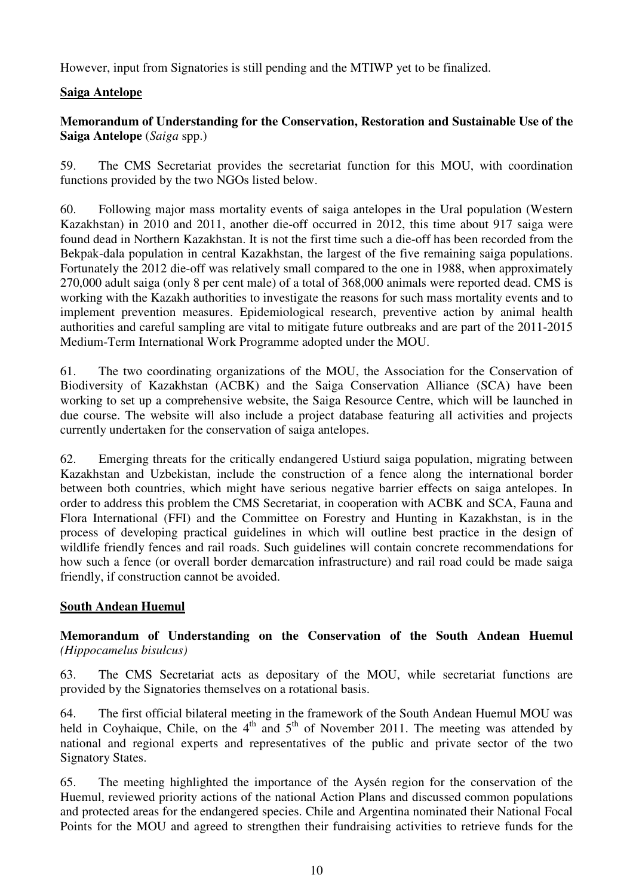However, input from Signatories is still pending and the MTIWP yet to be finalized.

### **Saiga Antelope**

### **Memorandum of Understanding for the Conservation, Restoration and Sustainable Use of the Saiga Antelope** (*Saiga* spp.)

59. The CMS Secretariat provides the secretariat function for this MOU, with coordination functions provided by the two NGOs listed below.

60. Following major mass mortality events of saiga antelopes in the Ural population (Western Kazakhstan) in 2010 and 2011, another die-off occurred in 2012, this time about 917 saiga were found dead in Northern Kazakhstan. It is not the first time such a die-off has been recorded from the Bekpak-dala population in central Kazakhstan, the largest of the five remaining saiga populations. Fortunately the 2012 die-off was relatively small compared to the one in 1988, when approximately 270,000 adult saiga (only 8 per cent male) of a total of 368,000 animals were reported dead. CMS is working with the Kazakh authorities to investigate the reasons for such mass mortality events and to implement prevention measures. Epidemiological research, preventive action by animal health authorities and careful sampling are vital to mitigate future outbreaks and are part of the 2011-2015 Medium-Term International Work Programme adopted under the MOU.

61. The two coordinating organizations of the MOU, the Association for the Conservation of Biodiversity of Kazakhstan (ACBK) and the Saiga Conservation Alliance (SCA) have been working to set up a comprehensive website, the Saiga Resource Centre, which will be launched in due course. The website will also include a project database featuring all activities and projects currently undertaken for the conservation of saiga antelopes.

62. Emerging threats for the critically endangered Ustiurd saiga population, migrating between Kazakhstan and Uzbekistan, include the construction of a fence along the international border between both countries, which might have serious negative barrier effects on saiga antelopes. In order to address this problem the CMS Secretariat, in cooperation with ACBK and SCA, Fauna and Flora International (FFI) and the Committee on Forestry and Hunting in Kazakhstan, is in the process of developing practical guidelines in which will outline best practice in the design of wildlife friendly fences and rail roads. Such guidelines will contain concrete recommendations for how such a fence (or overall border demarcation infrastructure) and rail road could be made saiga friendly, if construction cannot be avoided.

### **South Andean Huemul**

### **Memorandum of Understanding on the Conservation of the South Andean Huemul**  *(Hippocamelus bisulcus)*

63. The CMS Secretariat acts as depositary of the MOU, while secretariat functions are provided by the Signatories themselves on a rotational basis.

64. The first official bilateral meeting in the framework of the South Andean Huemul MOU was held in Coyhaique, Chile, on the  $4<sup>th</sup>$  and  $5<sup>th</sup>$  of November 2011. The meeting was attended by national and regional experts and representatives of the public and private sector of the two Signatory States.

65. The meeting highlighted the importance of the Aysén region for the conservation of the Huemul, reviewed priority actions of the national Action Plans and discussed common populations and protected areas for the endangered species. Chile and Argentina nominated their National Focal Points for the MOU and agreed to strengthen their fundraising activities to retrieve funds for the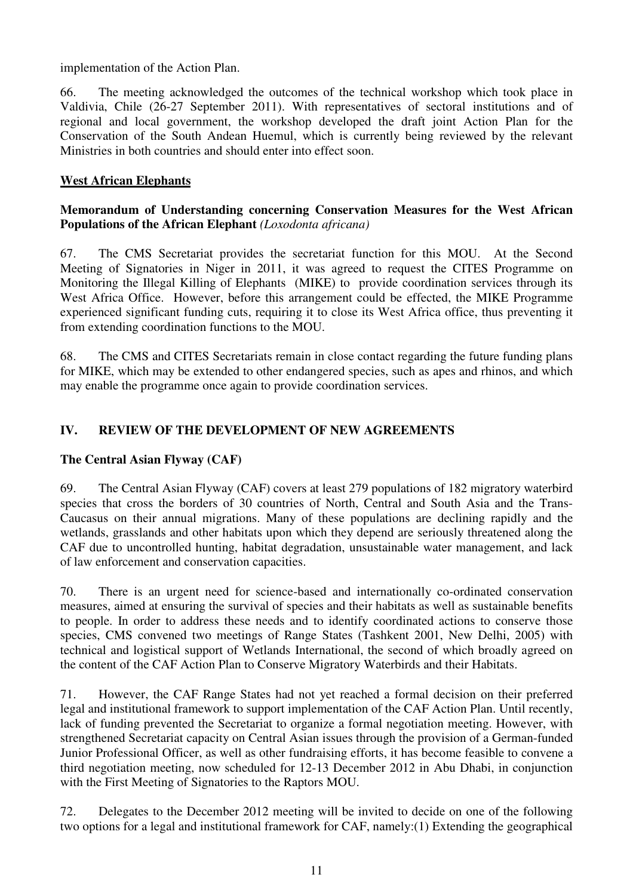implementation of the Action Plan.

66. The meeting acknowledged the outcomes of the technical workshop which took place in Valdivia, Chile (26-27 September 2011). With representatives of sectoral institutions and of regional and local government, the workshop developed the draft joint Action Plan for the Conservation of the South Andean Huemul, which is currently being reviewed by the relevant Ministries in both countries and should enter into effect soon.

### **West African Elephants**

### **Memorandum of Understanding concerning Conservation Measures for the West African Populations of the African Elephant** *(Loxodonta africana)*

67. The CMS Secretariat provides the secretariat function for this MOU. At the Second Meeting of Signatories in Niger in 2011, it was agreed to request the CITES Programme on Monitoring the Illegal Killing of Elephants (MIKE) to provide coordination services through its West Africa Office. However, before this arrangement could be effected, the MIKE Programme experienced significant funding cuts, requiring it to close its West Africa office, thus preventing it from extending coordination functions to the MOU.

68. The CMS and CITES Secretariats remain in close contact regarding the future funding plans for MIKE, which may be extended to other endangered species, such as apes and rhinos, and which may enable the programme once again to provide coordination services.

### **IV. REVIEW OF THE DEVELOPMENT OF NEW AGREEMENTS**

### **The Central Asian Flyway (CAF)**

69. The Central Asian Flyway (CAF) covers at least 279 populations of 182 migratory waterbird species that cross the borders of 30 countries of North, Central and South Asia and the Trans-Caucasus on their annual migrations. Many of these populations are declining rapidly and the wetlands, grasslands and other habitats upon which they depend are seriously threatened along the CAF due to uncontrolled hunting, habitat degradation, unsustainable water management, and lack of law enforcement and conservation capacities.

70. There is an urgent need for science-based and internationally co-ordinated conservation measures, aimed at ensuring the survival of species and their habitats as well as sustainable benefits to people. In order to address these needs and to identify coordinated actions to conserve those species, CMS convened two meetings of Range States (Tashkent 2001, New Delhi, 2005) with technical and logistical support of Wetlands International, the second of which broadly agreed on the content of the CAF Action Plan to Conserve Migratory Waterbirds and their Habitats.

71. However, the CAF Range States had not yet reached a formal decision on their preferred legal and institutional framework to support implementation of the CAF Action Plan. Until recently, lack of funding prevented the Secretariat to organize a formal negotiation meeting. However, with strengthened Secretariat capacity on Central Asian issues through the provision of a German-funded Junior Professional Officer, as well as other fundraising efforts, it has become feasible to convene a third negotiation meeting, now scheduled for 12-13 December 2012 in Abu Dhabi, in conjunction with the First Meeting of Signatories to the Raptors MOU.

72. Delegates to the December 2012 meeting will be invited to decide on one of the following two options for a legal and institutional framework for CAF, namely:(1) Extending the geographical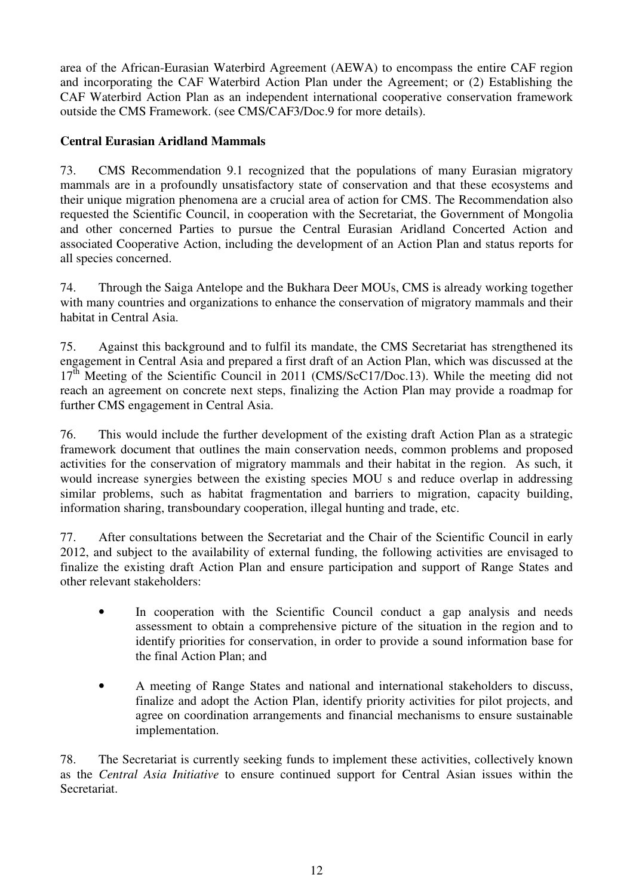area of the African-Eurasian Waterbird Agreement (AEWA) to encompass the entire CAF region and incorporating the CAF Waterbird Action Plan under the Agreement; or (2) Establishing the CAF Waterbird Action Plan as an independent international cooperative conservation framework outside the CMS Framework. (see CMS/CAF3/Doc.9 for more details).

### **Central Eurasian Aridland Mammals**

73. CMS Recommendation 9.1 recognized that the populations of many Eurasian migratory mammals are in a profoundly unsatisfactory state of conservation and that these ecosystems and their unique migration phenomena are a crucial area of action for CMS. The Recommendation also requested the Scientific Council, in cooperation with the Secretariat, the Government of Mongolia and other concerned Parties to pursue the Central Eurasian Aridland Concerted Action and associated Cooperative Action, including the development of an Action Plan and status reports for all species concerned.

74. Through the Saiga Antelope and the Bukhara Deer MOUs, CMS is already working together with many countries and organizations to enhance the conservation of migratory mammals and their habitat in Central Asia.

75. Against this background and to fulfil its mandate, the CMS Secretariat has strengthened its engagement in Central Asia and prepared a first draft of an Action Plan, which was discussed at the  $17<sup>th</sup>$  Meeting of the Scientific Council in 2011 (CMS/ScC17/Doc.13). While the meeting did not reach an agreement on concrete next steps, finalizing the Action Plan may provide a roadmap for further CMS engagement in Central Asia.

76. This would include the further development of the existing draft Action Plan as a strategic framework document that outlines the main conservation needs, common problems and proposed activities for the conservation of migratory mammals and their habitat in the region. As such, it would increase synergies between the existing species MOU s and reduce overlap in addressing similar problems, such as habitat fragmentation and barriers to migration, capacity building, information sharing, transboundary cooperation, illegal hunting and trade, etc.

77. After consultations between the Secretariat and the Chair of the Scientific Council in early 2012, and subject to the availability of external funding, the following activities are envisaged to finalize the existing draft Action Plan and ensure participation and support of Range States and other relevant stakeholders:

- In cooperation with the Scientific Council conduct a gap analysis and needs assessment to obtain a comprehensive picture of the situation in the region and to identify priorities for conservation, in order to provide a sound information base for the final Action Plan; and
- A meeting of Range States and national and international stakeholders to discuss, finalize and adopt the Action Plan, identify priority activities for pilot projects, and agree on coordination arrangements and financial mechanisms to ensure sustainable implementation.

78. The Secretariat is currently seeking funds to implement these activities, collectively known as the *Central Asia Initiative* to ensure continued support for Central Asian issues within the Secretariat.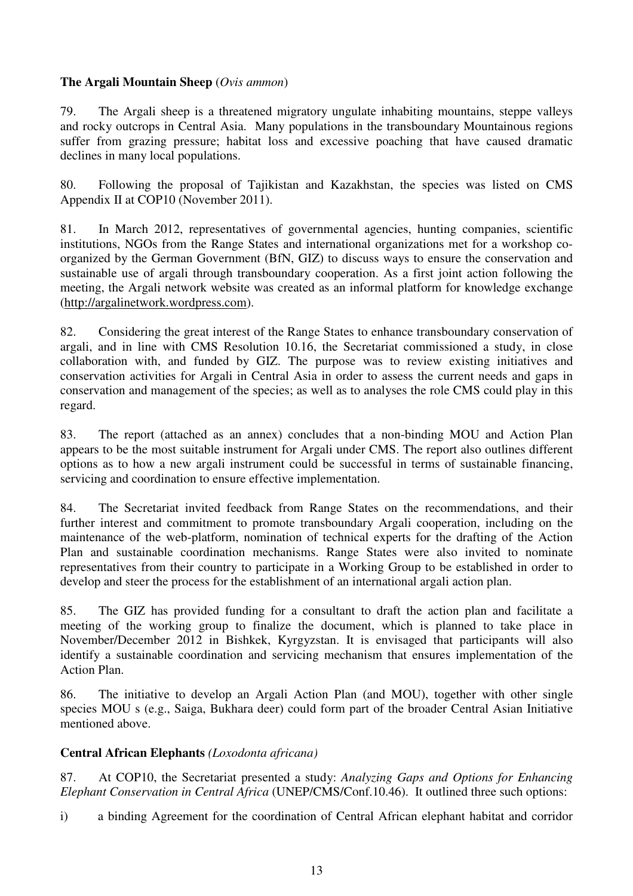### **The Argali Mountain Sheep** (*Ovis ammon*)

79. The Argali sheep is a threatened migratory ungulate inhabiting mountains, steppe valleys and rocky outcrops in Central Asia. Many populations in the transboundary Mountainous regions suffer from grazing pressure; habitat loss and excessive poaching that have caused dramatic declines in many local populations.

80. Following the proposal of Tajikistan and Kazakhstan, the species was listed on CMS Appendix II at COP10 (November 2011).

81. In March 2012, representatives of governmental agencies, hunting companies, scientific institutions, NGOs from the Range States and international organizations met for a workshop coorganized by the German Government (BfN, GIZ) to discuss ways to ensure the conservation and sustainable use of argali through transboundary cooperation. As a first joint action following the meeting, the Argali network website was created as an informal platform for knowledge exchange (http://argalinetwork.wordpress.com).

82. Considering the great interest of the Range States to enhance transboundary conservation of argali, and in line with CMS Resolution 10.16, the Secretariat commissioned a study, in close collaboration with, and funded by GIZ. The purpose was to review existing initiatives and conservation activities for Argali in Central Asia in order to assess the current needs and gaps in conservation and management of the species; as well as to analyses the role CMS could play in this regard.

83. The report (attached as an annex) concludes that a non-binding MOU and Action Plan appears to be the most suitable instrument for Argali under CMS. The report also outlines different options as to how a new argali instrument could be successful in terms of sustainable financing, servicing and coordination to ensure effective implementation.

84. The Secretariat invited feedback from Range States on the recommendations, and their further interest and commitment to promote transboundary Argali cooperation, including on the maintenance of the web-platform, nomination of technical experts for the drafting of the Action Plan and sustainable coordination mechanisms. Range States were also invited to nominate representatives from their country to participate in a Working Group to be established in order to develop and steer the process for the establishment of an international argali action plan.

85. The GIZ has provided funding for a consultant to draft the action plan and facilitate a meeting of the working group to finalize the document, which is planned to take place in November/December 2012 in Bishkek, Kyrgyzstan. It is envisaged that participants will also identify a sustainable coordination and servicing mechanism that ensures implementation of the Action Plan.

86. The initiative to develop an Argali Action Plan (and MOU), together with other single species MOU s (e.g., Saiga, Bukhara deer) could form part of the broader Central Asian Initiative mentioned above.

# **Central African Elephants** *(Loxodonta africana)*

87. At COP10, the Secretariat presented a study: *Analyzing Gaps and Options for Enhancing Elephant Conservation in Central Africa* (UNEP/CMS/Conf.10.46). It outlined three such options:

i) a binding Agreement for the coordination of Central African elephant habitat and corridor